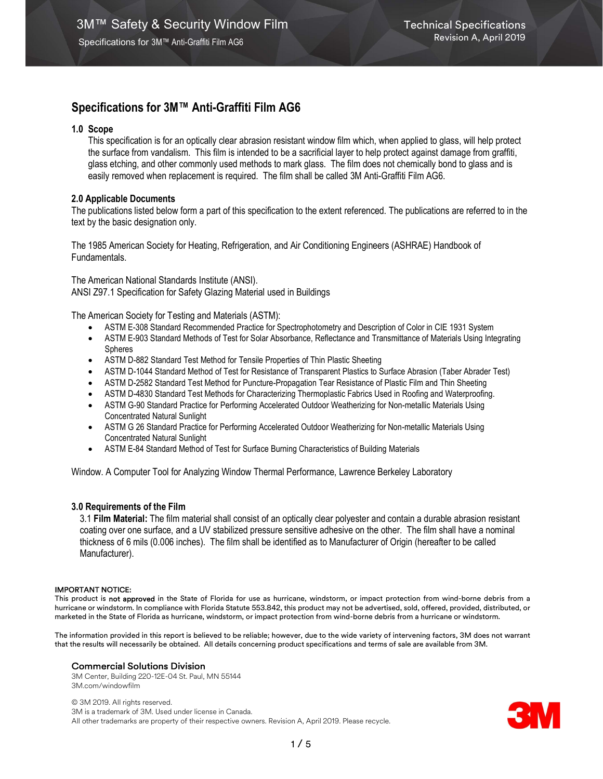## 1.0 Scope

This specification is for an optically clear abrasion resistant window film which, when applied to glass, will help protect the surface from vandalism. This film is intended to be a sacrificial layer to help protect against damage from graffiti, glass etching, and other commonly used methods to mark glass. The film does not chemically bond to glass and is easily removed when replacement is required. The film shall be called 3M Anti-Graffiti Film AG6.

## 2.0 Applicable Documents

The publications listed below form a part of this specification to the extent referenced. The publications are referred to in the text by the basic designation only.

The 1985 American Society for Heating, Refrigeration, and Air Conditioning Engineers (ASHRAE) Handbook of Fundamentals.

The American National Standards Institute (ANSI). ANSI Z97.1 Specification for Safety Glazing Material used in Buildings

The American Society for Testing and Materials (ASTM):

- ASTM E-308 Standard Recommended Practice for Spectrophotometry and Description of Color in CIE 1931 System
- ASTM E-903 Standard Methods of Test for Solar Absorbance, Reflectance and Transmittance of Materials Using Integrating **Spheres**
- ASTM D-882 Standard Test Method for Tensile Properties of Thin Plastic Sheeting
- ASTM D-1044 Standard Method of Test for Resistance of Transparent Plastics to Surface Abrasion (Taber Abrader Test)
- ASTM D-2582 Standard Test Method for Puncture-Propagation Tear Resistance of Plastic Film and Thin Sheeting
- ASTM D-4830 Standard Test Methods for Characterizing Thermoplastic Fabrics Used in Roofing and Waterproofing.
- ASTM G-90 Standard Practice for Performing Accelerated Outdoor Weatherizing for Non-metallic Materials Using Concentrated Natural Sunlight
- ASTM G 26 Standard Practice for Performing Accelerated Outdoor Weatherizing for Non-metallic Materials Using Concentrated Natural Sunlight
- ASTM E-84 Standard Method of Test for Surface Burning Characteristics of Building Materials

Window. A Computer Tool for Analyzing Window Thermal Performance, Lawrence Berkeley Laboratory

## 3.0 Requirements of the Film

3.1 Film Material: The film material shall consist of an optically clear polyester and contain a durable abrasion resistant coating over one surface, and a UV stabilized pressure sensitive adhesive on the other. The film shall have a nominal thickness of 6 mils (0.006 inches). The film shall be identified as to Manufacturer of Origin (hereafter to be called Manufacturer).

## IMPORTANT NOTICE:

This product is not approved in the State of Florida for use as hurricane, windstorm, or impact protection from wind-borne debris from a hurricane or windstorm. In compliance with Florida Statute 553.842, this product may not be advertised, sold, offered, provided, distributed, or marketed in the State of Florida as hurricane, windstorm, or impact protection from wind-borne debris from a hurricane or windstorm.

The information provided in this report is believed to be reliable; however, due to the wide variety of intervening factors, 3M does not warrant that the results will necessarily be obtained. All details concerning product specifications and terms of sale are available from 3M.

## Commercial Solutions Division

3M Center, Building 220-12E-04 St. Paul, MN 55144 3M.com/windowfilm

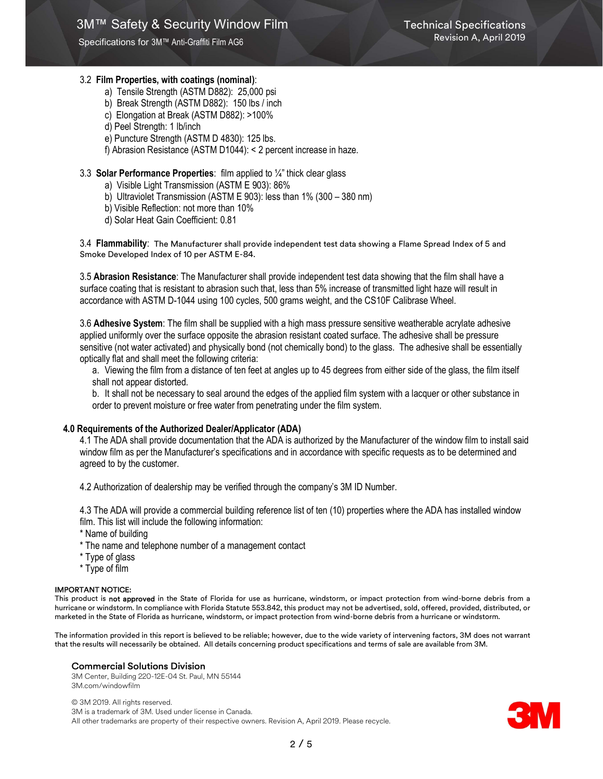## 3.2 Film Properties, with coatings (nominal):

- a) Tensile Strength (ASTM D882): 25,000 psi
- b) Break Strength (ASTM D882): 150 lbs / inch
- c) Elongation at Break (ASTM D882): >100%
- d) Peel Strength: 1 lb/inch
- e) Puncture Strength (ASTM D 4830): 125 lbs.
- f) Abrasion Resistance (ASTM D1044): < 2 percent increase in haze.

## 3.3 Solar Performance Properties: film applied to ¼" thick clear glass

- a) Visible Light Transmission (ASTM E 903): 86%
- b) Ultraviolet Transmission (ASTM E 903): less than 1% (300 380 nm)
- b) Visible Reflection: not more than 10%
- d) Solar Heat Gain Coefficient: 0.81

3.4 Flammability: The Manufacturer shall provide independent test data showing a Flame Spread Index of 5 and Smoke Developed Index of 10 per ASTM E-84.

3.5 Abrasion Resistance: The Manufacturer shall provide independent test data showing that the film shall have a surface coating that is resistant to abrasion such that, less than 5% increase of transmitted light haze will result in accordance with ASTM D-1044 using 100 cycles, 500 grams weight, and the CS10F Calibrase Wheel.

3.6 Adhesive System: The film shall be supplied with a high mass pressure sensitive weatherable acrylate adhesive applied uniformly over the surface opposite the abrasion resistant coated surface. The adhesive shall be pressure sensitive (not water activated) and physically bond (not chemically bond) to the glass. The adhesive shall be essentially optically flat and shall meet the following criteria:

a. Viewing the film from a distance of ten feet at angles up to 45 degrees from either side of the glass, the film itself shall not appear distorted.

b. It shall not be necessary to seal around the edges of the applied film system with a lacquer or other substance in order to prevent moisture or free water from penetrating under the film system.

## 4.0 Requirements of the Authorized Dealer/Applicator (ADA)

4.1 The ADA shall provide documentation that the ADA is authorized by the Manufacturer of the window film to install said window film as per the Manufacturer's specifications and in accordance with specific requests as to be determined and agreed to by the customer.

4.2 Authorization of dealership may be verified through the company's 3M ID Number.

4.3 The ADA will provide a commercial building reference list of ten (10) properties where the ADA has installed window film. This list will include the following information:

\* Name of building

- \* The name and telephone number of a management contact
- \* Type of glass
- \* Type of film

## IMPORTANT NOTICE:

This product is not approved in the State of Florida for use as hurricane, windstorm, or impact protection from wind-borne debris from a hurricane or windstorm. In compliance with Florida Statute 553.842, this product may not be advertised, sold, offered, provided, distributed, or marketed in the State of Florida as hurricane, windstorm, or impact protection from wind-borne debris from a hurricane or windstorm.

The information provided in this report is believed to be reliable; however, due to the wide variety of intervening factors, 3M does not warrant that the results will necessarily be obtained. All details concerning product specifications and terms of sale are available from 3M.

## Commercial Solutions Division

3M Center, Building 220-12E-04 St. Paul, MN 55144 3M.com/windowfilm

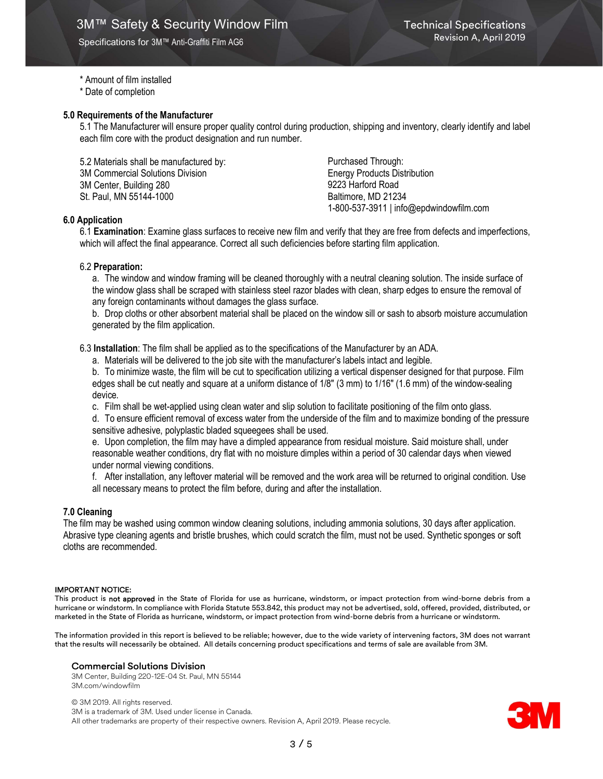## \* Amount of film installed

\* Date of completion

## 5.0 Requirements of the Manufacturer

5.1 The Manufacturer will ensure proper quality control during production, shipping and inventory, clearly identify and label each film core with the product designation and run number.

5.2 Materials shall be manufactured by: 3M Commercial Solutions Division 3M Center, Building 280 St. Paul, MN 55144-1000

Purchased Through: Energy Products Distribution 9223 Harford Road Baltimore, MD 21234 1-800-537-3911 | info@epdwindowfilm.com

## 6.0 Application

6.1 Examination: Examine glass surfaces to receive new film and verify that they are free from defects and imperfections, which will affect the final appearance. Correct all such deficiencies before starting film application.

## 6.2 Preparation:

a. The window and window framing will be cleaned thoroughly with a neutral cleaning solution. The inside surface of the window glass shall be scraped with stainless steel razor blades with clean, sharp edges to ensure the removal of any foreign contaminants without damages the glass surface.

b. Drop cloths or other absorbent material shall be placed on the window sill or sash to absorb moisture accumulation generated by the film application.

6.3 Installation: The film shall be applied as to the specifications of the Manufacturer by an ADA.

a. Materials will be delivered to the job site with the manufacturer's labels intact and legible.

b. To minimize waste, the film will be cut to specification utilizing a vertical dispenser designed for that purpose. Film edges shall be cut neatly and square at a uniform distance of 1/8" (3 mm) to 1/16" (1.6 mm) of the window-sealing device.

c. Film shall be wet-applied using clean water and slip solution to facilitate positioning of the film onto glass.

d. To ensure efficient removal of excess water from the underside of the film and to maximize bonding of the pressure sensitive adhesive, polyplastic bladed squeegees shall be used.

e. Upon completion, the film may have a dimpled appearance from residual moisture. Said moisture shall, under reasonable weather conditions, dry flat with no moisture dimples within a period of 30 calendar days when viewed under normal viewing conditions.

f. After installation, any leftover material will be removed and the work area will be returned to original condition. Use all necessary means to protect the film before, during and after the installation.

## 7.0 Cleaning

The film may be washed using common window cleaning solutions, including ammonia solutions, 30 days after application. Abrasive type cleaning agents and bristle brushes, which could scratch the film, must not be used. Synthetic sponges or soft cloths are recommended.

#### IMPORTANT NOTICE:

This product is not approved in the State of Florida for use as hurricane, windstorm, or impact protection from wind-borne debris from a hurricane or windstorm. In compliance with Florida Statute 553.842, this product may not be advertised, sold, offered, provided, distributed, or marketed in the State of Florida as hurricane, windstorm, or impact protection from wind-borne debris from a hurricane or windstorm.

The information provided in this report is believed to be reliable; however, due to the wide variety of intervening factors, 3M does not warrant that the results will necessarily be obtained. All details concerning product specifications and terms of sale are available from 3M.

#### Commercial Solutions Division

3M Center, Building 220-12E-04 St. Paul, MN 55144 3M.com/windowfilm

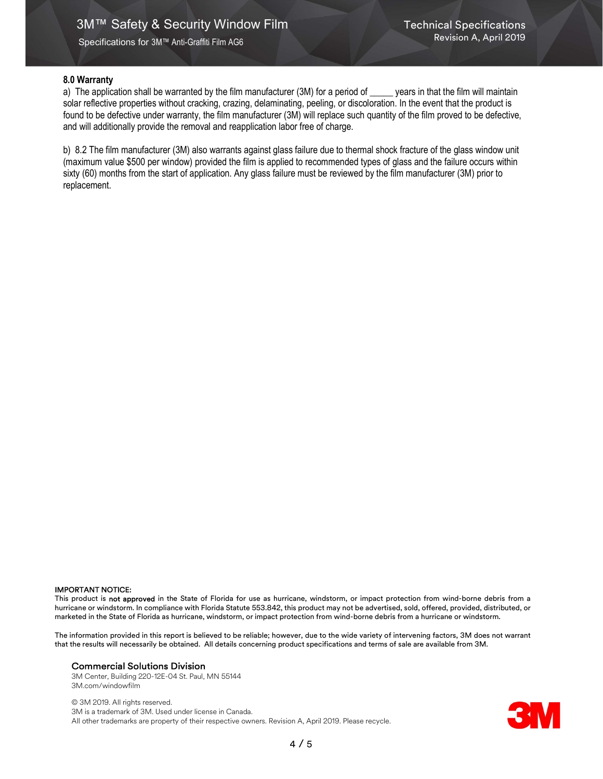## 8.0 Warranty

a) The application shall be warranted by the film manufacturer (3M) for a period of \_\_\_\_\_ years in that the film will maintain solar reflective properties without cracking, crazing, delaminating, peeling, or discoloration. In the event that the product is found to be defective under warranty, the film manufacturer (3M) will replace such quantity of the film proved to be defective, and will additionally provide the removal and reapplication labor free of charge.

b) 8.2 The film manufacturer (3M) also warrants against glass failure due to thermal shock fracture of the glass window unit (maximum value \$500 per window) provided the film is applied to recommended types of glass and the failure occurs within sixty (60) months from the start of application. Any glass failure must be reviewed by the film manufacturer (3M) prior to replacement.

#### IMPORTANT NOTICE:

This product is not approved in the State of Florida for use as hurricane, windstorm, or impact protection from wind-borne debris from a hurricane or windstorm. In compliance with Florida Statute 553.842, this product may not be advertised, sold, offered, provided, distributed, or marketed in the State of Florida as hurricane, windstorm, or impact protection from wind-borne debris from a hurricane or windstorm.

The information provided in this report is believed to be reliable; however, due to the wide variety of intervening factors, 3M does not warrant that the results will necessarily be obtained. All details concerning product specifications and terms of sale are available from 3M.

#### Commercial Solutions Division

3M Center, Building 220-12E-04 St. Paul, MN 55144 3M.com/windowfilm